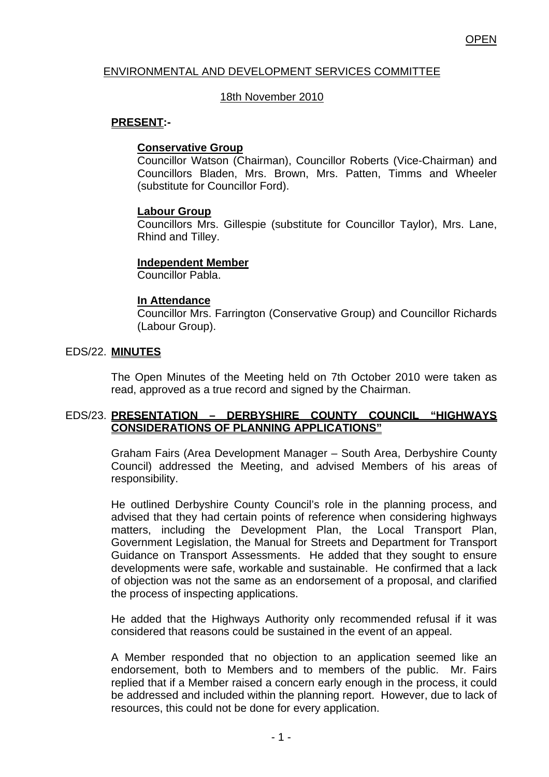## ENVIRONMENTAL AND DEVELOPMENT SERVICES COMMITTEE

### 18th November 2010

### **PRESENT:-**

## **Conservative Group**

Councillor Watson (Chairman), Councillor Roberts (Vice-Chairman) and Councillors Bladen, Mrs. Brown, Mrs. Patten, Timms and Wheeler (substitute for Councillor Ford).

## **Labour Group**

Councillors Mrs. Gillespie (substitute for Councillor Taylor), Mrs. Lane, Rhind and Tilley.

## **Independent Member**

Councillor Pabla.

## **In Attendance**

Councillor Mrs. Farrington (Conservative Group) and Councillor Richards (Labour Group).

## EDS/22. **MINUTES**

The Open Minutes of the Meeting held on 7th October 2010 were taken as read, approved as a true record and signed by the Chairman.

## EDS/23. **PRESENTATION – DERBYSHIRE COUNTY COUNCIL "HIGHWAYS CONSIDERATIONS OF PLANNING APPLICATIONS"**

Graham Fairs (Area Development Manager – South Area, Derbyshire County Council) addressed the Meeting, and advised Members of his areas of responsibility.

He outlined Derbyshire County Council's role in the planning process, and advised that they had certain points of reference when considering highways matters, including the Development Plan, the Local Transport Plan, Government Legislation, the Manual for Streets and Department for Transport Guidance on Transport Assessments. He added that they sought to ensure developments were safe, workable and sustainable. He confirmed that a lack of objection was not the same as an endorsement of a proposal, and clarified the process of inspecting applications.

He added that the Highways Authority only recommended refusal if it was considered that reasons could be sustained in the event of an appeal.

A Member responded that no objection to an application seemed like an endorsement, both to Members and to members of the public. Mr. Fairs replied that if a Member raised a concern early enough in the process, it could be addressed and included within the planning report. However, due to lack of resources, this could not be done for every application.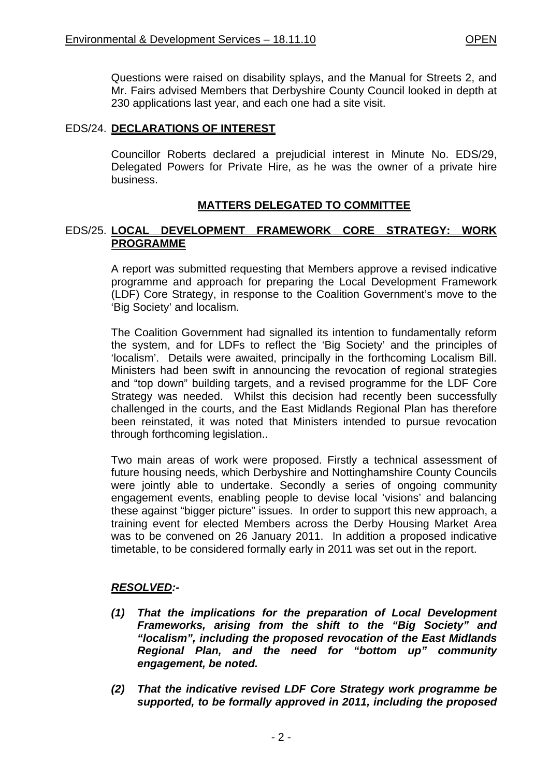Questions were raised on disability splays, and the Manual for Streets 2, and Mr. Fairs advised Members that Derbyshire County Council looked in depth at 230 applications last year, and each one had a site visit.

### EDS/24. **DECLARATIONS OF INTEREST**

Councillor Roberts declared a prejudicial interest in Minute No. EDS/29, Delegated Powers for Private Hire, as he was the owner of a private hire business.

# **MATTERS DELEGATED TO COMMITTEE**

## EDS/25. **LOCAL DEVELOPMENT FRAMEWORK CORE STRATEGY: WORK PROGRAMME**

A report was submitted requesting that Members approve a revised indicative programme and approach for preparing the Local Development Framework (LDF) Core Strategy, in response to the Coalition Government's move to the 'Big Society' and localism.

The Coalition Government had signalled its intention to fundamentally reform the system, and for LDFs to reflect the 'Big Society' and the principles of 'localism'. Details were awaited, principally in the forthcoming Localism Bill. Ministers had been swift in announcing the revocation of regional strategies and "top down" building targets, and a revised programme for the LDF Core Strategy was needed. Whilst this decision had recently been successfully challenged in the courts, and the East Midlands Regional Plan has therefore been reinstated, it was noted that Ministers intended to pursue revocation through forthcoming legislation..

Two main areas of work were proposed. Firstly a technical assessment of future housing needs, which Derbyshire and Nottinghamshire County Councils were jointly able to undertake. Secondly a series of ongoing community engagement events, enabling people to devise local 'visions' and balancing these against "bigger picture" issues. In order to support this new approach, a training event for elected Members across the Derby Housing Market Area was to be convened on 26 January 2011. In addition a proposed indicative timetable, to be considered formally early in 2011 was set out in the report.

### *RESOLVED:-*

- *(1) That the implications for the preparation of Local Development Frameworks, arising from the shift to the "Big Society" and "localism", including the proposed revocation of the East Midlands Regional Plan, and the need for "bottom up" community engagement, be noted.*
- *(2) That the indicative revised LDF Core Strategy work programme be supported, to be formally approved in 2011, including the proposed*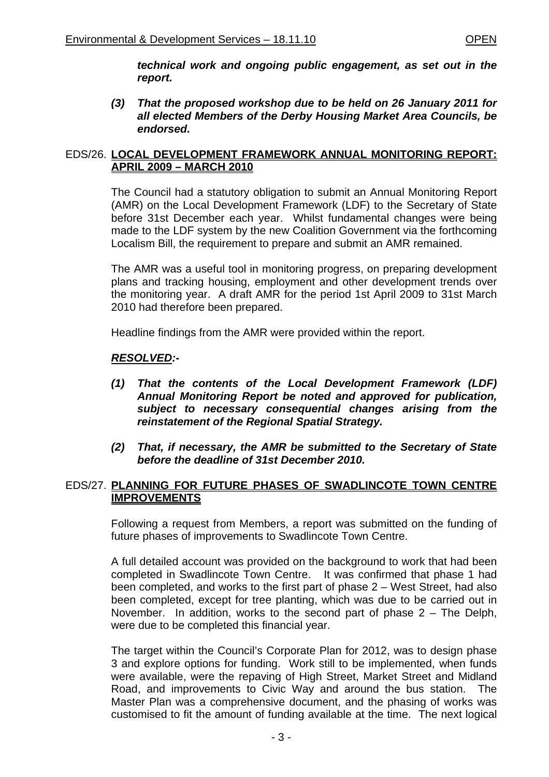*technical work and ongoing public engagement, as set out in the report.* 

*(3) That the proposed workshop due to be held on 26 January 2011 for all elected Members of the Derby Housing Market Area Councils, be endorsed.*

### EDS/26. **LOCAL DEVELOPMENT FRAMEWORK ANNUAL MONITORING REPORT: APRIL 2009 – MARCH 2010**

The Council had a statutory obligation to submit an Annual Monitoring Report (AMR) on the Local Development Framework (LDF) to the Secretary of State before 31st December each year. Whilst fundamental changes were being made to the LDF system by the new Coalition Government via the forthcoming Localism Bill, the requirement to prepare and submit an AMR remained.

The AMR was a useful tool in monitoring progress, on preparing development plans and tracking housing, employment and other development trends over the monitoring year. A draft AMR for the period 1st April 2009 to 31st March 2010 had therefore been prepared.

Headline findings from the AMR were provided within the report.

### *RESOLVED:-*

- *(1) That the contents of the Local Development Framework (LDF) Annual Monitoring Report be noted and approved for publication, subject to necessary consequential changes arising from the reinstatement of the Regional Spatial Strategy.*
- *(2) That, if necessary, the AMR be submitted to the Secretary of State before the deadline of 31st December 2010.*

### EDS/27. **PLANNING FOR FUTURE PHASES OF SWADLINCOTE TOWN CENTRE IMPROVEMENTS**

Following a request from Members, a report was submitted on the funding of future phases of improvements to Swadlincote Town Centre.

A full detailed account was provided on the background to work that had been completed in Swadlincote Town Centre. It was confirmed that phase 1 had been completed, and works to the first part of phase 2 – West Street, had also been completed, except for tree planting, which was due to be carried out in November. In addition, works to the second part of phase 2 – The Delph, were due to be completed this financial year.

The target within the Council's Corporate Plan for 2012, was to design phase 3 and explore options for funding. Work still to be implemented, when funds were available, were the repaving of High Street, Market Street and Midland Road, and improvements to Civic Way and around the bus station. The Master Plan was a comprehensive document, and the phasing of works was customised to fit the amount of funding available at the time. The next logical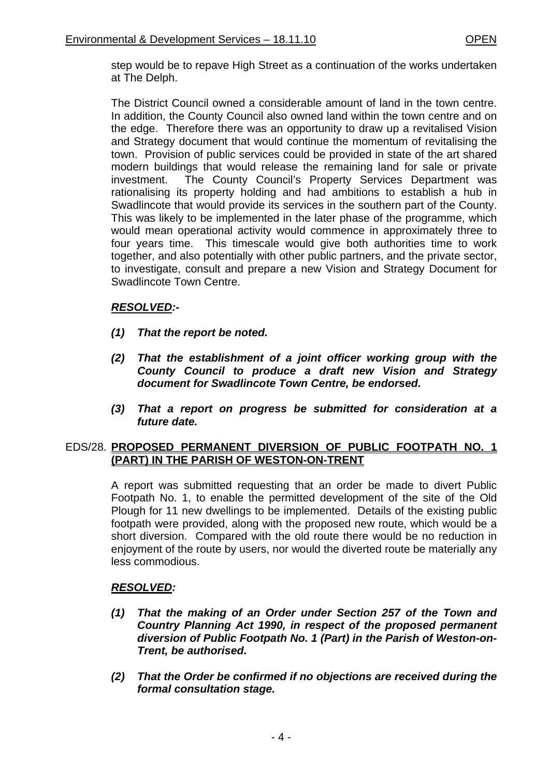step would be to repave High Street as a continuation of the works undertaken at The Delph.

The District Council owned a considerable amount of land in the town centre. In addition, the County Council also owned land within the town centre and on the edge. Therefore there was an opportunity to draw up a revitalised Vision and Strategy document that would continue the momentum of revitalising the town. Provision of public services could be provided in state of the art shared modern buildings that would release the remaining land for sale or private investment. The County Council's Property Services Department was rationalising its property holding and had ambitions to establish a hub in Swadlincote that would provide its services in the southern part of the County. This was likely to be implemented in the later phase of the programme, which would mean operational activity would commence in approximately three to four years time. This timescale would give both authorities time to work together, and also potentially with other public partners, and the private sector, to investigate, consult and prepare a new Vision and Strategy Document for Swadlincote Town Centre.

# *RESOLVED:-*

- *(1) That the report be noted.*
- *(2) That the establishment of a joint officer working group with the County Council to produce a draft new Vision and Strategy document for Swadlincote Town Centre, be endorsed.*
- *(3) That a report on progress be submitted for consideration at a future date.*

## EDS/28. **PROPOSED PERMANENT DIVERSION OF PUBLIC FOOTPATH NO. 1 (PART) IN THE PARISH OF WESTON-ON-TRENT**

A report was submitted requesting that an order be made to divert Public Footpath No. 1, to enable the permitted development of the site of the Old Plough for 11 new dwellings to be implemented. Details of the existing public footpath were provided, along with the proposed new route, which would be a short diversion. Compared with the old route there would be no reduction in enjoyment of the route by users, nor would the diverted route be materially any less commodious.

# *RESOLVED:*

- *(1) That the making of an Order under Section 257 of the Town and Country Planning Act 1990, in respect of the proposed permanent diversion of Public Footpath No. 1 (Part) in the Parish of Weston-on-Trent, be authorised.*
- *(2) That the Order be confirmed if no objections are received during the formal consultation stage.*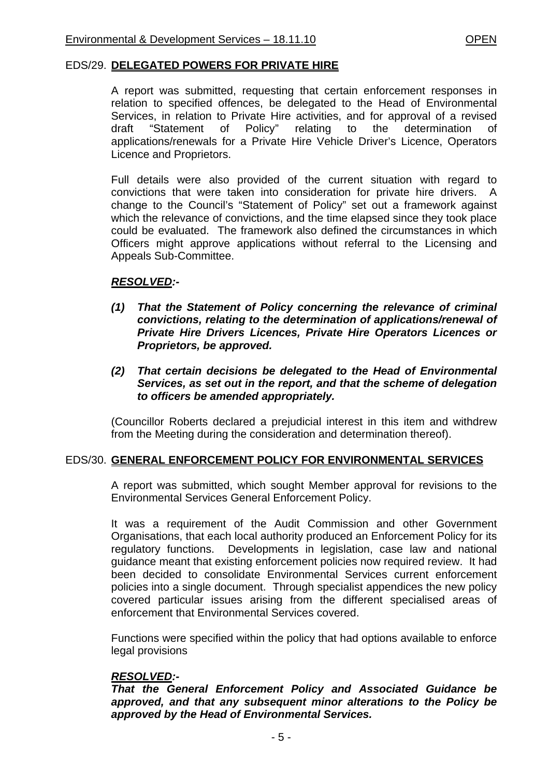#### EDS/29. **DELEGATED POWERS FOR PRIVATE HIRE**

A report was submitted, requesting that certain enforcement responses in relation to specified offences, be delegated to the Head of Environmental Services, in relation to Private Hire activities, and for approval of a revised draft "Statement of Policy" relating to the determination of applications/renewals for a Private Hire Vehicle Driver's Licence, Operators Licence and Proprietors.

Full details were also provided of the current situation with regard to convictions that were taken into consideration for private hire drivers. A change to the Council's "Statement of Policy" set out a framework against which the relevance of convictions, and the time elapsed since they took place could be evaluated. The framework also defined the circumstances in which Officers might approve applications without referral to the Licensing and Appeals Sub-Committee.

### *RESOLVED:-*

- *(1) That the Statement of Policy concerning the relevance of criminal convictions, relating to the determination of applications/renewal of Private Hire Drivers Licences, Private Hire Operators Licences or Proprietors, be approved.*
- *(2) That certain decisions be delegated to the Head of Environmental Services, as set out in the report, and that the scheme of delegation to officers be amended appropriately.*

(Councillor Roberts declared a prejudicial interest in this item and withdrew from the Meeting during the consideration and determination thereof).

### EDS/30. **GENERAL ENFORCEMENT POLICY FOR ENVIRONMENTAL SERVICES**

A report was submitted, which sought Member approval for revisions to the Environmental Services General Enforcement Policy.

It was a requirement of the Audit Commission and other Government Organisations, that each local authority produced an Enforcement Policy for its regulatory functions. Developments in legislation, case law and national guidance meant that existing enforcement policies now required review. It had been decided to consolidate Environmental Services current enforcement policies into a single document. Through specialist appendices the new policy covered particular issues arising from the different specialised areas of enforcement that Environmental Services covered.

Functions were specified within the policy that had options available to enforce legal provisions

### *RESOLVED:-*

*That the General Enforcement Policy and Associated Guidance be approved, and that any subsequent minor alterations to the Policy be approved by the Head of Environmental Services.*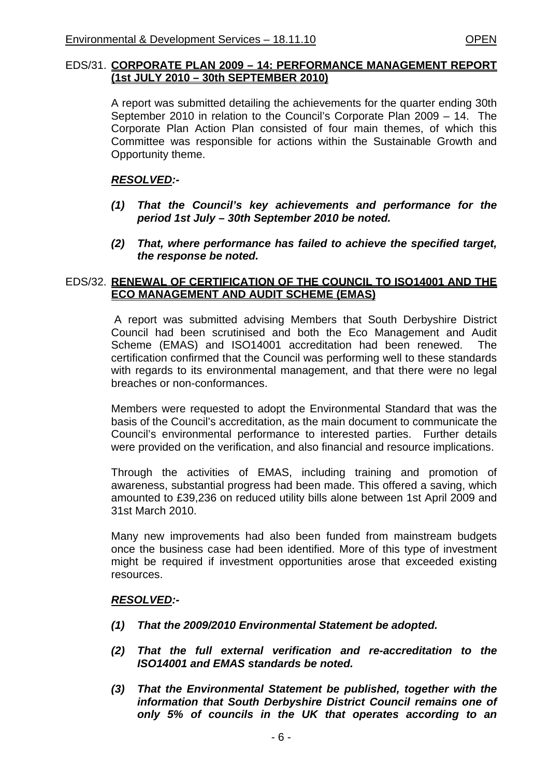#### EDS/31. **CORPORATE PLAN 2009 – 14: PERFORMANCE MANAGEMENT REPORT (1st JULY 2010 – 30th SEPTEMBER 2010)**

A report was submitted detailing the achievements for the quarter ending 30th September 2010 in relation to the Council's Corporate Plan 2009 – 14. The Corporate Plan Action Plan consisted of four main themes, of which this Committee was responsible for actions within the Sustainable Growth and Opportunity theme.

### *RESOLVED:-*

- *(1) That the Council's key achievements and performance for the period 1st July – 30th September 2010 be noted.*
- *(2) That, where performance has failed to achieve the specified target, the response be noted.*

### EDS/32. **RENEWAL OF CERTIFICATION OF THE COUNCIL TO ISO14001 AND THE ECO MANAGEMENT AND AUDIT SCHEME (EMAS)**

 A report was submitted advising Members that South Derbyshire District Council had been scrutinised and both the Eco Management and Audit Scheme (EMAS) and ISO14001 accreditation had been renewed. The certification confirmed that the Council was performing well to these standards with regards to its environmental management, and that there were no legal breaches or non-conformances.

Members were requested to adopt the Environmental Standard that was the basis of the Council's accreditation, as the main document to communicate the Council's environmental performance to interested parties. Further details were provided on the verification, and also financial and resource implications.

Through the activities of EMAS, including training and promotion of awareness, substantial progress had been made. This offered a saving, which amounted to £39,236 on reduced utility bills alone between 1st April 2009 and 31st March 2010.

Many new improvements had also been funded from mainstream budgets once the business case had been identified. More of this type of investment might be required if investment opportunities arose that exceeded existing resources.

### *RESOLVED:-*

- *(1) That the 2009/2010 Environmental Statement be adopted.*
- *(2) That the full external verification and re-accreditation to the ISO14001 and EMAS standards be noted.*
- *(3) That the Environmental Statement be published, together with the information that South Derbyshire District Council remains one of only 5% of councils in the UK that operates according to an*